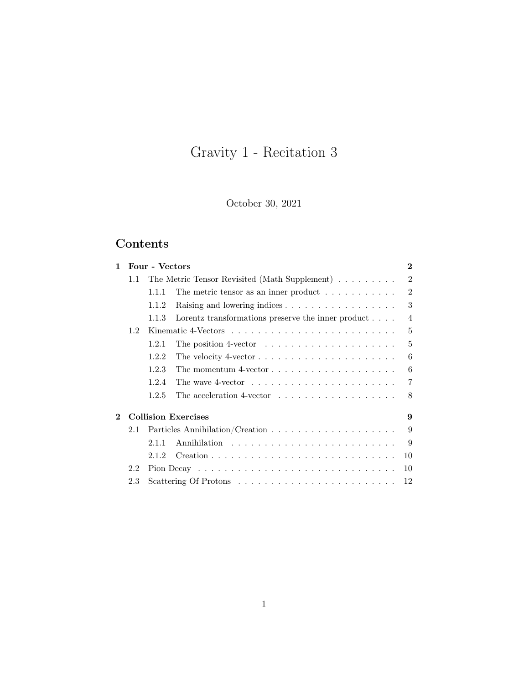# Gravity 1 - Recitation 3

October 30, 2021

## Contents

| $\mathbf{1}$ |                            | Four - Vectors |                                                                         | $\bf{2}$       |  |  |
|--------------|----------------------------|----------------|-------------------------------------------------------------------------|----------------|--|--|
|              | 1.1                        |                | The Metric Tensor Revisited (Math Supplement)                           | $\mathfrak{D}$ |  |  |
|              |                            | 1.1.1          | The metric tensor as an inner product $\ldots \ldots \ldots$            | $\mathfrak{D}$ |  |  |
|              |                            | 1.1.2          | Raising and lowering indices                                            | 3              |  |  |
|              |                            | 1.1.3          | Lorentz transformations preserve the inner product $\ldots$ .           | $\overline{4}$ |  |  |
|              | 1.2                        |                |                                                                         | 5              |  |  |
|              |                            | 1.2.1          | The position 4-vector $\dots \dots \dots \dots \dots \dots \dots$       | 5              |  |  |
|              |                            | 1.2.2          | The velocity 4-vector $\dots \dots \dots \dots \dots \dots \dots \dots$ | 6              |  |  |
|              |                            | 1.2.3          | The momentum 4-vector $\ldots \ldots \ldots \ldots \ldots \ldots$       | 6              |  |  |
|              |                            | 1.2.4          | The wave 4-vector $\dots \dots \dots \dots \dots \dots \dots$           | 7              |  |  |
|              |                            | 1.2.5          | The acceleration 4-vector $\dots \dots \dots \dots \dots \dots$         | 8              |  |  |
| $\mathbf 2$  | <b>Collision Exercises</b> |                |                                                                         |                |  |  |
|              | 2.1                        |                |                                                                         | 9              |  |  |
|              |                            | 2.1.1          |                                                                         | 9              |  |  |
|              |                            | 2.1.2          |                                                                         | 10             |  |  |
|              | 2.2                        |                |                                                                         | 10             |  |  |
|              | 2.3                        |                |                                                                         | 12             |  |  |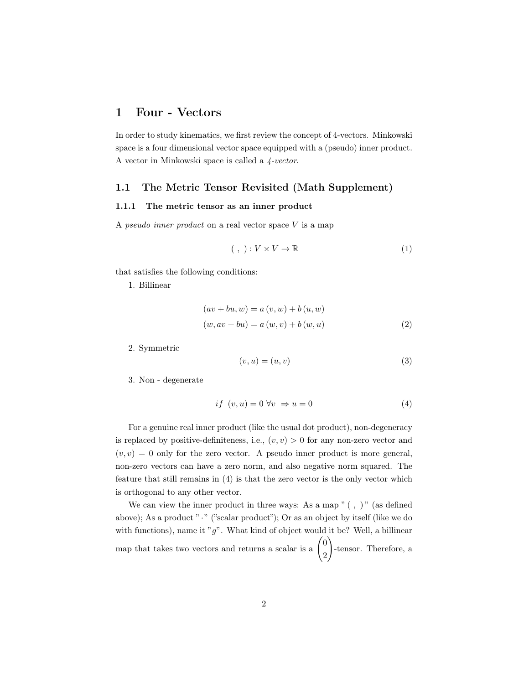## <span id="page-1-0"></span>1 Four - Vectors

In order to study kinematics, we first review the concept of 4-vectors. Minkowski space is a four dimensional vector space equipped with a (pseudo) inner product. A vector in Minkowski space is called a  $\frac{4-vector}{.}$ 

#### <span id="page-1-1"></span>1.1 The Metric Tensor Revisited (Math Supplement)

#### <span id="page-1-2"></span>1.1.1 The metric tensor as an inner product

A pseudo inner product on a real vector space  $V$  is a map

$$
(\ ,\ ) : V \times V \to \mathbb{R} \tag{1}
$$

that satisfies the following conditions:

1. Billinear

$$
(av + bu, w) = a(v, w) + b(u, w)
$$
  

$$
(w, av + bu) = a(w, v) + b(w, u)
$$
 (2)

2. Symmetric

$$
(v, u) = (u, v) \tag{3}
$$

3. Non - degenerate

<span id="page-1-3"></span>
$$
if (v, u) = 0 \,\forall v \Rightarrow u = 0 \tag{4}
$$

For a genuine real inner product (like the usual dot product), non-degeneracy is replaced by positive-definiteness, i.e.,  $(v, v) > 0$  for any non-zero vector and  $(v, v) = 0$  only for the zero vector. A pseudo inner product is more general, non-zero vectors can have a zero norm, and also negative norm squared. The feature that still remains in [\(4\)](#page-1-3) is that the zero vector is the only vector which is orthogonal to any other vector.

We can view the inner product in three ways: As a map  $" ( , )"$  (as defined above); As a product " $\cdot$  " ("scalar product"); Or as an object by itself (like we do with functions), name it " $g$ ". What kind of object would it be? Well, a billinear map that takes two vectors and returns a scalar is a  $\binom{0}{3}$ 2  $\setminus$ -tensor. Therefore, a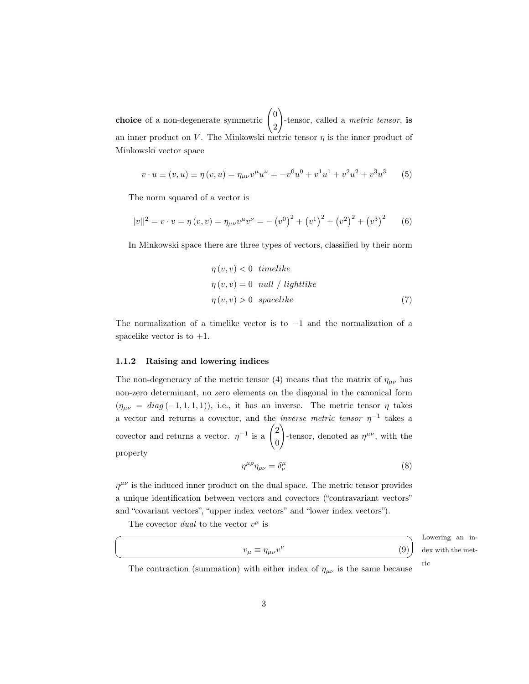**choice** of a non-degenerate symmetric  $\begin{pmatrix} 0 \\ 0 \end{pmatrix}$ 2  $\setminus$ -tensor, called a *metric tensor*, is an inner product on V. The Minkowski metric tensor  $\eta$  is the inner product of Minkowski vector space

$$
v \cdot u \equiv (v, u) \equiv \eta(v, u) = \eta_{\mu\nu}v^{\mu}u^{\nu} = -v^{0}u^{0} + v^{1}u^{1} + v^{2}u^{2} + v^{3}u^{3}
$$
 (5)

The norm squared of a vector is

$$
||v||^{2} = v \cdot v = \eta(v, v) = \eta_{\mu\nu}v^{\mu}v^{\nu} = - (v^{0})^{2} + (v^{1})^{2} + (v^{2})^{2} + (v^{3})^{2}
$$
 (6)

In Minkowski space there are three types of vectors, classified by their norm

$$
\eta(v, v) < 0 \quad timelike
$$
\n
$$
\eta(v, v) = 0 \quad null / lightlike
$$
\n
$$
\eta(v, v) > 0 \quad spacelike \tag{7}
$$

The normalization of a timelike vector is to  $-1$  and the normalization of a spacelike vector is to  $+1$ .

#### <span id="page-2-0"></span>1.1.2 Raising and lowering indices

The non-degeneracy of the metric tensor [\(4\)](#page-1-3) means that the matrix of  $\eta_{\mu\nu}$  has non-zero determinant, no zero elements on the diagonal in the canonical form  $(\eta_{\mu\nu} = diag(-1, 1, 1, 1))$ , i.e., it has an inverse. The metric tensor  $\eta$  takes a vector and returns a covector, and the *inverse metric tensor*  $\eta^{-1}$  takes a covector and returns a vector.  $\eta^{-1}$  is a  $\begin{pmatrix} 2 & 1 \\ 2 & 1 \end{pmatrix}$ 0  $\setminus$ -tensor, denoted as  $\eta^{\mu\nu}$ , with the property

$$
\eta^{\mu\rho}\eta_{\rho\nu} = \delta^{\mu}_{\nu} \tag{8}
$$

 $\eta^{\mu\nu}$  is the induced inner product on the dual space. The metric tensor provides a unique identification between vectors and covectors ("contravariant vectors" and "covariant vectors", "upper index vectors" and "lower index vectors").

The covector dual to the vector  $v^{\mu}$  is

☛

 $\searrow$ 

|                                       |     | _______        |
|---------------------------------------|-----|----------------|
| $v_{\mu} \equiv \eta_{\mu\nu}v^{\nu}$ | (q) | dex with the m |

Lowering an iniet-

The contraction (summation) with either index of  $\eta_{\mu\nu}$  is the same because ric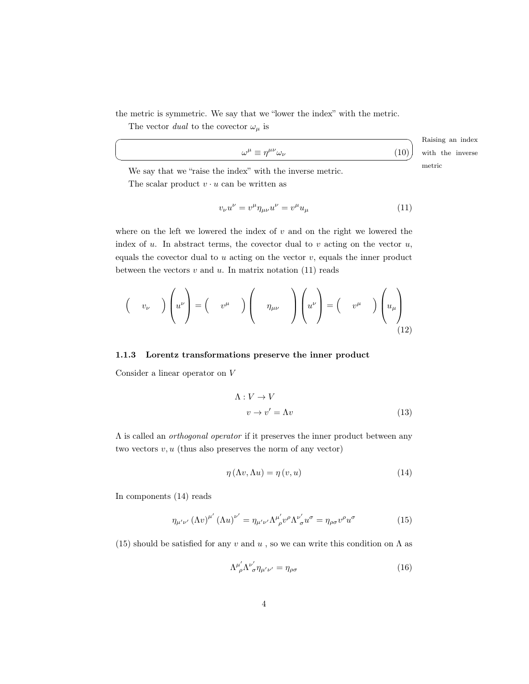the metric is symmetric. We say that we "lower the index" with the metric.

The vector  $dual$  to the covector  $\omega_\mu$  is

☛

 $\searrow$ 

|                                                            | Raising an index |
|------------------------------------------------------------|------------------|
| $\omega^{\mu} \equiv \eta^{\mu\nu} \omega_{\nu}$<br>$(10)$ | with the inverse |
|                                                            |                  |

We say that we "raise the index" with the inverse metric. The interval metric metric  $\mathbf{r}$ The scalar product  $v \cdot u$  can be written as

<span id="page-3-1"></span>
$$
v_{\nu}u^{\nu} = v^{\mu}\eta_{\mu\nu}u^{\nu} = v^{\mu}u_{\mu}
$$
\n(11)

where on the left we lowered the index of  $v$  and on the right we lowered the index of  $u$ . In abstract terms, the covector dual to  $v$  acting on the vector  $u$ , equals the covector dual to  $u$  acting on the vector  $v$ , equals the inner product between the vectors  $v$  and  $u$ . In matrix notation [\(11\)](#page-3-1) reads

$$
\begin{pmatrix} v_{\nu} \end{pmatrix} \begin{pmatrix} u^{\nu} \end{pmatrix} = \begin{pmatrix} v^{\mu} \end{pmatrix} \begin{pmatrix} \eta_{\mu\nu} \end{pmatrix} \begin{pmatrix} u^{\nu} \end{pmatrix} = \begin{pmatrix} v^{\mu} \end{pmatrix} \begin{pmatrix} u_{\mu} \end{pmatrix}
$$
\n(12)

#### <span id="page-3-0"></span>1.1.3 Lorentz transformations preserve the inner product

Consider a linear operator on V

$$
\Lambda: V \to V
$$
  

$$
v \to v' = \Lambda v
$$
 (13)

 $\Lambda$  is called an  $orthogonal$   $operator$  if it preserves the inner product between any two vectors  $v, u$  (thus also preserves the norm of any vector)

<span id="page-3-2"></span>
$$
\eta(\Lambda v, \Lambda u) = \eta(v, u) \tag{14}
$$

In components [\(14\)](#page-3-2) reads

<span id="page-3-3"></span>
$$
\eta_{\mu'\nu'} (\Lambda v)^{\mu'} (\Lambda u)^{\nu'} = \eta_{\mu'\nu'} \Lambda^{\mu'}_{\ \rho} v^{\rho} \Lambda^{\nu'}_{\ \sigma} u^{\sigma} = \eta_{\rho\sigma} v^{\rho} u^{\sigma}
$$
\n(15)

[\(15\)](#page-3-3) should be satisfied for any v and u, so we can write this condition on  $\Lambda$  as

$$
\Lambda^{\mu'}_{\rho} \Lambda^{\nu'}_{\sigma} \eta_{\mu'\nu'} = \eta_{\rho\sigma} \tag{16}
$$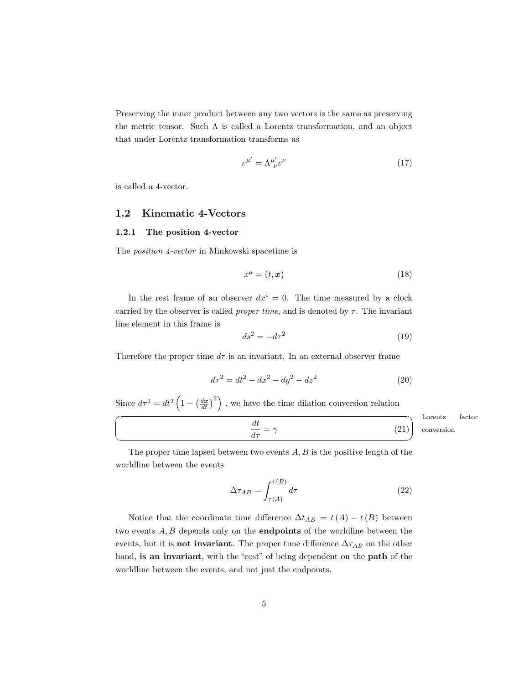Preserving the inner product between any two vectors is the same as preserving the metric tensor. Such  $\Lambda$  is called a Lorentz transformation, and an object that under Lorentz transformation transforms as

$$
v^{\mu'} = \Lambda^{\mu'}_{\ \nu} v^{\nu} \tag{17}
$$

is called a 4-vector.

#### <span id="page-4-0"></span>1.2 Kinematic 4-Vectors

#### <span id="page-4-1"></span>1.2.1 The position 4-vector

The position 4-vector in Minkowski spacetime is

$$
x^{\mu} = (t, \mathbf{x}) \tag{18}
$$

In the rest frame of an observer  $dx^i = 0$ . The time measured by a clock carried by the observer is called *proper time*, and is denoted by  $\tau$ . The invariant line element in this frame is

$$
ds^2 = -d\tau^2\tag{19}
$$

Therefore the proper time  $d\tau$  is an invariant. In an external observer frame

<span id="page-4-3"></span><span id="page-4-2"></span>
$$
d\tau^2 = dt^2 - dx^2 - dy^2 - dz^2 \tag{20}
$$

Since  $d\tau^2 = dt^2 \left(1 - \left(\frac{d\boldsymbol{x}}{dt}\right)^2\right)$ , we have the time dilation conversion relation

$$
\frac{dt}{d\tau} = \gamma
$$
 Lorentz factor  
(21) *Lorentz factor*

The proper time lapsed between two events  $A, B$  is the positive length of the worldline between the events

$$
\Delta \tau_{AB} = \int_{\tau(A)}^{\tau(B)} d\tau \tag{22}
$$

Notice that the coordinate time difference  $\Delta t_{AB} = t(A) - t(B)$  between two events A, B depends only on the endpoints of the worldline between the events, but it is **not invariant**. The proper time difference  $\Delta \tau_{AB}$  on the other hand, is an invariant, with the "cost" of being dependent on the path of the worldline between the events, and not just the endpoints.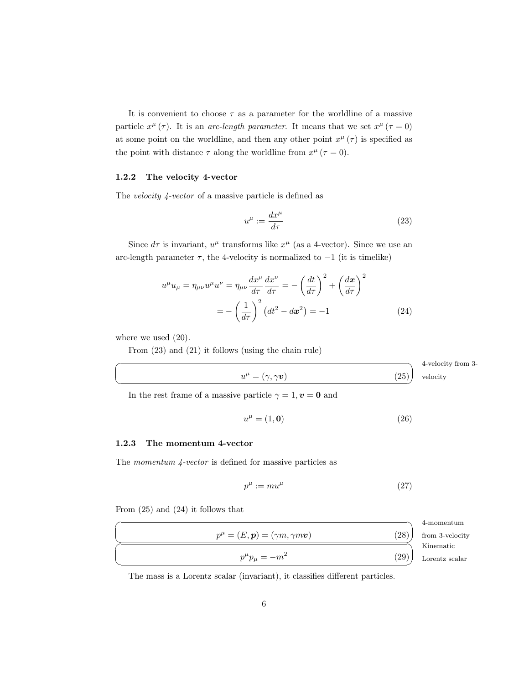It is convenient to choose  $\tau$  as a parameter for the worldline of a massive particle  $x^{\mu}(\tau)$ . It is an arc-length parameter. It means that we set  $x^{\mu}(\tau=0)$ at some point on the worldline, and then any other point  $x^{\mu}(\tau)$  is specified as the point with distance  $\tau$  along the worldline from  $x^{\mu}$  ( $\tau = 0$ ).

#### <span id="page-5-0"></span>1.2.2 The velocity 4-vector

The velocity 4-vector of a massive particle is defined as

<span id="page-5-4"></span><span id="page-5-2"></span>
$$
u^{\mu} := \frac{dx^{\mu}}{d\tau} \tag{23}
$$

Since  $d\tau$  is invariant,  $u^{\mu}$  transforms like  $x^{\mu}$  (as a 4-vector). Since we use an arc-length parameter  $\tau$ , the 4-velocity is normalized to  $-1$  (it is timelike)

$$
u^{\mu}u_{\mu} = \eta_{\mu\nu}u^{\mu}u^{\nu} = \eta_{\mu\nu}\frac{dx^{\mu}}{d\tau}\frac{dx^{\nu}}{d\tau} = -\left(\frac{dt}{d\tau}\right)^{2} + \left(\frac{d\mathbf{x}}{d\tau}\right)^{2}
$$

$$
= -\left(\frac{1}{d\tau}\right)^{2}\left(dt^{2} - dx^{2}\right) = -1 \tag{24}
$$

where we used  $(20)$ .

☛

 $\searrow$ 

From [\(23\)](#page-5-2) and [\(21\)](#page-4-3) it follows (using the chain rule)

|                                       | 4-velocity from 3- |
|---------------------------------------|--------------------|
| 25)<br>$u^{\mu} = (\gamma, \gamma v)$ | elocity            |
|                                       |                    |

In the rest frame of a massive particle  $\gamma = 1, v = 0$  and

<span id="page-5-3"></span>
$$
u^{\mu} = (1, \mathbf{0}) \tag{26}
$$

#### <span id="page-5-1"></span>1.2.3 The momentum 4-vector

The momentum 4-vector is defined for massive particles as

<span id="page-5-5"></span>
$$
p^{\mu} := mu^{\mu} \tag{27}
$$

From [\(25\)](#page-5-3) and [\(24\)](#page-5-4) it follows that

|                                                                       |      | 4-momentum      |
|-----------------------------------------------------------------------|------|-----------------|
| $p^{\mu} = (E, \boldsymbol{p}) = (\gamma m, \gamma m \boldsymbol{v})$ | (28  | from 3-velocity |
|                                                                       |      | Kinematic       |
| $p^{\mu}p_{\mu}=-m^2$                                                 | (29) | Lorentz scalar  |

The mass is a Lorentz scalar (invariant), it classifies different particles.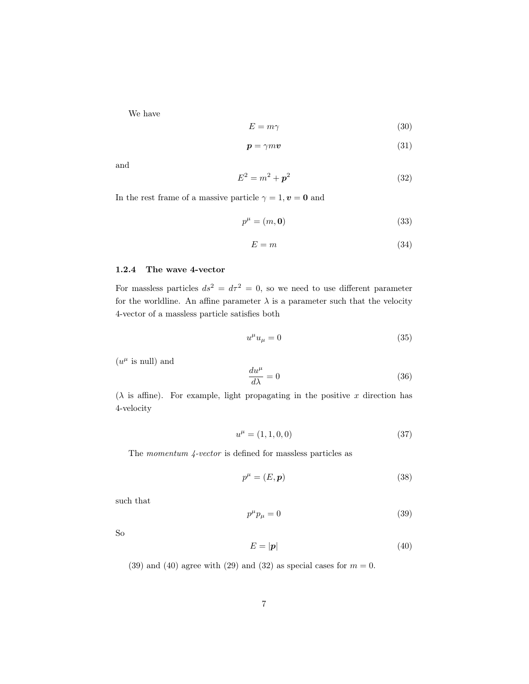We have

$$
E = m\gamma \tag{30}
$$

$$
p = \gamma m v \tag{31}
$$

and

<span id="page-6-3"></span>
$$
E^2 = m^2 + p^2
$$
 (32)

In the rest frame of a massive particle  $\gamma = 1, v = 0$  and

$$
p^{\mu} = (m, \mathbf{0}) \tag{33}
$$

$$
E = m \tag{34}
$$

#### <span id="page-6-0"></span>1.2.4 The wave 4-vector

For massless particles  $ds^2 = d\tau^2 = 0$ , so we need to use different parameter for the worldline. An affine parameter  $\lambda$  is a parameter such that the velocity 4-vector of a massless particle satisfies both

$$
u^{\mu}u_{\mu} = 0 \tag{35}
$$

 $(u^{\mu}$  is null) and

$$
\frac{du^{\mu}}{d\lambda} = 0\tag{36}
$$

( $\lambda$  is affine). For example, light propagating in the positive x direction has 4-velocity

$$
u^{\mu} = (1, 1, 0, 0) \tag{37}
$$

The momentum 4-vector is defined for massless particles as

$$
p^{\mu} = (E, \mathbf{p}) \tag{38}
$$

such that

<span id="page-6-1"></span>
$$
p^{\mu}p_{\mu} = 0 \tag{39}
$$

So

<span id="page-6-2"></span>
$$
E = |\mathbf{p}| \tag{40}
$$

[\(39\)](#page-6-1) and [\(40\)](#page-6-2) agree with [\(29\)](#page-5-5) and [\(32\)](#page-6-3) as special cases for  $m = 0$ .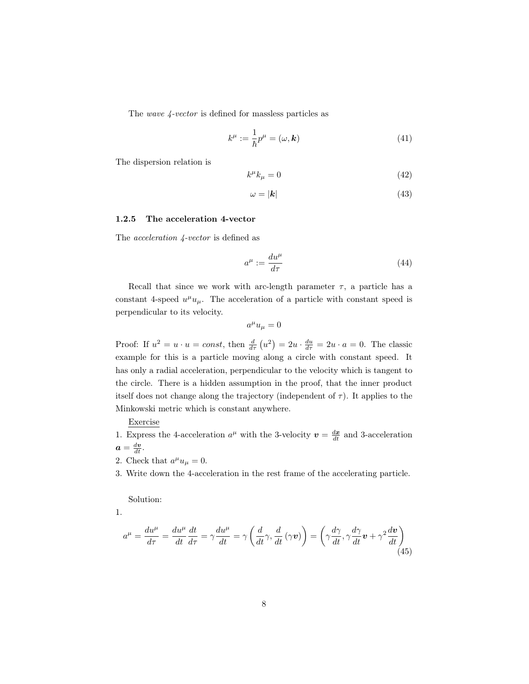The wave 4-vector is defined for massless particles as

$$
k^{\mu} := \frac{1}{\hbar} p^{\mu} = (\omega, \mathbf{k}) \tag{41}
$$

The dispersion relation is

$$
k^{\mu}k_{\mu} = 0 \tag{42}
$$

$$
\omega = |\mathbf{k}| \tag{43}
$$

#### <span id="page-7-0"></span>1.2.5 The acceleration 4-vector

The acceleration 4-vector is defined as

$$
a^{\mu} := \frac{du^{\mu}}{d\tau} \tag{44}
$$

Recall that since we work with arc-length parameter  $\tau$ , a particle has a constant 4-speed  $u^{\mu}u_{\mu}$ . The acceleration of a particle with constant speed is perpendicular to its velocity.

$$
a^{\mu}u_{\mu}=0
$$

Proof: If  $u^2 = u \cdot u = const$ , then  $\frac{d}{d\tau}(u^2) = 2u \cdot \frac{du}{d\tau} = 2u \cdot a = 0$ . The classic example for this is a particle moving along a circle with constant speed. It has only a radial acceleration, perpendicular to the velocity which is tangent to the circle. There is a hidden assumption in the proof, that the inner product itself does not change along the trajectory (independent of  $\tau$ ). It applies to the Minkowski metric which is constant anywhere.

Exercise

- 1. Express the 4-acceleration  $a^{\mu}$  with the 3-velocity  $\mathbf{v} = \frac{d\mathbf{x}}{dt}$  and 3-acceleration  $a=\frac{dv}{dt}$ .
- 2. Check that  $a^{\mu}u_{\mu}=0$ .
- 3. Write down the 4-acceleration in the rest frame of the accelerating particle.

Solution:

1.

<span id="page-7-1"></span>
$$
a^{\mu} = \frac{du^{\mu}}{d\tau} = \frac{du^{\mu}}{dt} \frac{dt}{d\tau} = \gamma \frac{du^{\mu}}{dt} = \gamma \left(\frac{d}{dt}\gamma, \frac{d}{dt}(\gamma \mathbf{v})\right) = \left(\gamma \frac{d\gamma}{dt}, \gamma \frac{d\gamma}{dt} \mathbf{v} + \gamma^{2} \frac{d\mathbf{v}}{dt}\right)
$$
\n(45)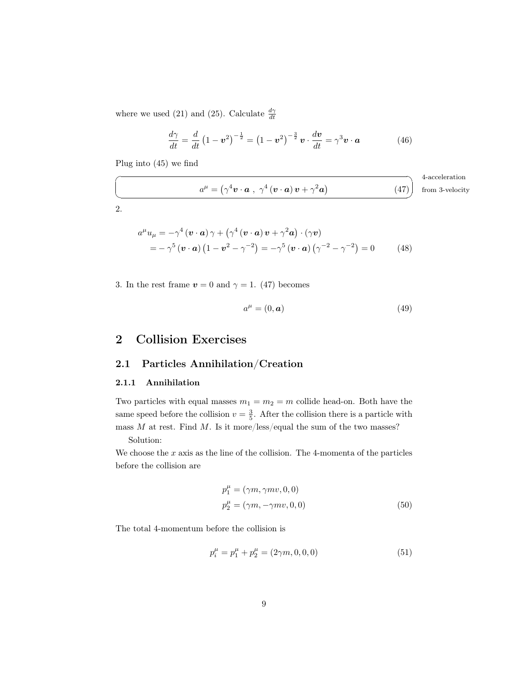where we used [\(21\)](#page-4-3) and [\(25\)](#page-5-3). Calculate  $\frac{d\gamma}{dt}$ 

<span id="page-8-3"></span>
$$
\frac{d\gamma}{dt} = \frac{d}{dt} \left( 1 - \boldsymbol{v}^2 \right)^{-\frac{1}{2}} = \left( 1 - \boldsymbol{v}^2 \right)^{-\frac{3}{2}} \boldsymbol{v} \cdot \frac{d\boldsymbol{v}}{dt} = \gamma^3 \boldsymbol{v} \cdot \boldsymbol{a} \tag{46}
$$

Plug into [\(45\)](#page-7-1) we find

$$
a^{\mu} = (\gamma^4 \mathbf{v} \cdot \mathbf{a} , \gamma^4 (\mathbf{v} \cdot \mathbf{a}) \mathbf{v} + \gamma^2 \mathbf{a})
$$
 4-acceleration from 3-velocity

2.

$$
a^{\mu}u_{\mu} = -\gamma^{4} (\mathbf{v} \cdot \mathbf{a}) \gamma + (\gamma^{4} (\mathbf{v} \cdot \mathbf{a}) \mathbf{v} + \gamma^{2} \mathbf{a}) \cdot (\gamma \mathbf{v})
$$
  
=  $-\gamma^{5} (\mathbf{v} \cdot \mathbf{a}) (1 - \mathbf{v}^{2} - \gamma^{-2}) = -\gamma^{5} (\mathbf{v} \cdot \mathbf{a}) (\gamma^{-2} - \gamma^{-2}) = 0$  (48)

3. In the rest frame  $v = 0$  and  $\gamma = 1$ . [\(47\)](#page-8-3) becomes

$$
a^{\mu} = (0, \mathbf{a}) \tag{49}
$$

## <span id="page-8-0"></span>2 Collision Exercises

### <span id="page-8-1"></span>2.1 Particles Annihilation/Creation

#### <span id="page-8-2"></span>2.1.1 Annihilation

Two particles with equal masses  $m_1 = m_2 = m$  collide head-on. Both have the same speed before the collision  $v = \frac{3}{5}$ . After the collision there is a particle with mass  $M$  at rest. Find  $M$ . Is it more/less/equal the sum of the two masses? Solution:

We choose the  $x$  axis as the line of the collision. The 4-momenta of the particles before the collision are

$$
p_1^{\mu} = (\gamma m, \gamma mv, 0, 0)
$$
  

$$
p_2^{\mu} = (\gamma m, -\gamma mv, 0, 0)
$$
 (50)

The total 4-momentum before the collision is

$$
p_i^{\mu} = p_1^{\mu} + p_2^{\mu} = (2\gamma m, 0, 0, 0)
$$
\n(51)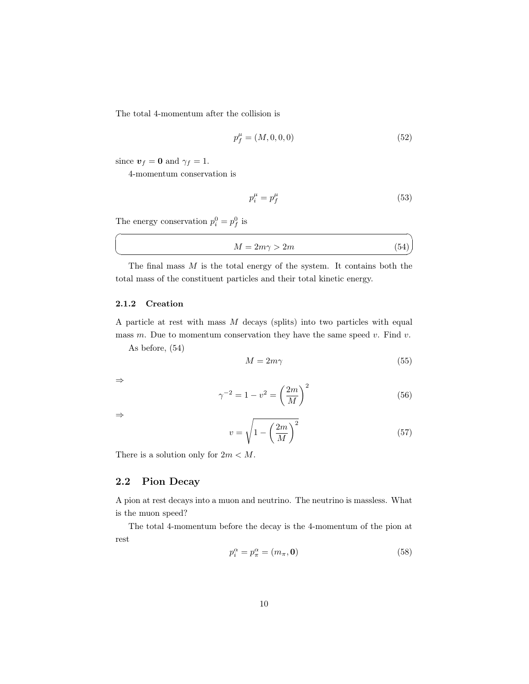The total 4-momentum after the collision is

$$
p_f^{\mu} = (M, 0, 0, 0) \tag{52}
$$

since  $v_f = 0$  and  $\gamma_f = 1$ .

4-momentum conservation is

$$
p_i^{\mu} = p_f^{\mu} \tag{53}
$$

The energy conservation  $p_i^0 = p_f^0$  is

<span id="page-9-2"></span>
$$
M = 2m\gamma > 2m\tag{54}
$$

The final mass  $M$  is the total energy of the system. It contains both the total mass of the constituent particles and their total kinetic energy.

#### <span id="page-9-0"></span>2.1.2 Creation

A particle at rest with mass  $M$  decays (splits) into two particles with equal mass  $m$ . Due to momentum conservation they have the same speed  $v$ . Find  $v$ .

As before, [\(54\)](#page-9-2)

$$
M = 2m\gamma \tag{55}
$$

⇒

 $\overline{a}$ 

 $\searrow$ 

$$
\gamma^{-2} = 1 - v^2 = \left(\frac{2m}{M}\right)^2 \tag{56}
$$

⇒

$$
v = \sqrt{1 - \left(\frac{2m}{M}\right)^2} \tag{57}
$$

There is a solution only for  $2m < M$ .

#### <span id="page-9-1"></span>2.2 Pion Decay

A pion at rest decays into a muon and neutrino. The neutrino is massless. What is the muon speed?

The total 4-momentum before the decay is the 4-momentum of the pion at rest

<span id="page-9-3"></span>
$$
p_i^{\alpha} = p_{\pi}^{\alpha} = (m_{\pi}, \mathbf{0})
$$
\n(58)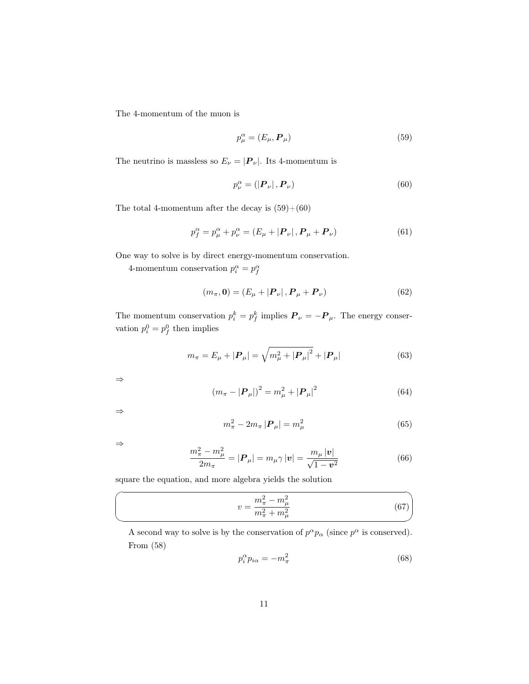The 4-momentum of the muon is

<span id="page-10-0"></span>
$$
p_{\mu}^{\alpha} = (E_{\mu}, \boldsymbol{P}_{\mu})
$$
\n<sup>(59)</sup>

The neutrino is massless so  $E_{\nu} = |\mathbf{P}_{\nu}|$ . Its 4-momentum is

<span id="page-10-1"></span>
$$
p_{\nu}^{\alpha} = \left( \left| \boldsymbol{P}_{\nu} \right|, \boldsymbol{P}_{\nu} \right) \tag{60}
$$

The total 4-momentum after the decay is  $(59)+(60)$  $(59)+(60)$  $(59)+(60)$ 

<span id="page-10-2"></span>
$$
p_f^{\alpha} = p_{\mu}^{\alpha} + p_{\nu}^{\alpha} = (E_{\mu} + |{\bf{P}}_{\nu}|, {\bf{P}}_{\mu} + {\bf{P}}_{\nu})
$$
(61)

One way to solve is by direct energy-momentum conservation.

4-momentum conservation  $p_i^{\alpha} = p_f^{\alpha}$ 

$$
(m_{\pi}, \mathbf{0}) = (E_{\mu} + |\mathbf{P}_{\nu}|, \mathbf{P}_{\mu} + \mathbf{P}_{\nu})
$$
\n(62)

The momentum conservation  $p_i^k = p_f^k$  implies  $\boldsymbol{P}_{\nu} = -\boldsymbol{P}_{\mu}$ . The energy conservation  $p_i^0 = p_f^0$  then implies

$$
m_{\pi} = E_{\mu} + |\mathbf{P}_{\mu}| = \sqrt{m_{\mu}^{2} + |\mathbf{P}_{\mu}|^{2}} + |\mathbf{P}_{\mu}| \tag{63}
$$

⇒

$$
(m_{\pi} - |\mathbf{P}_{\mu}|)^2 = m_{\mu}^2 + |\mathbf{P}_{\mu}|^2 \tag{64}
$$

⇒

$$
m_{\pi}^{2} - 2m_{\pi} |P_{\mu}| = m_{\mu}^{2}
$$
 (65)

⇒

 $\sqrt{2}$ 

✍

$$
\frac{m_{\pi}^2 - m_{\mu}^2}{2m_{\pi}} = |\mathbf{P}_{\mu}| = m_{\mu} \gamma |\mathbf{v}| = \frac{m_{\mu} |\mathbf{v}|}{\sqrt{1 - \mathbf{v}^2}}
$$
(66)

square the equation, and more algebra yields the solution

$$
v = \frac{m_{\pi}^2 - m_{\mu}^2}{m_{\pi}^2 + m_{\mu}^2} \tag{67}
$$

A second way to solve is by the conservation of  $p^{\alpha}p_{\alpha}$  (since  $p^{\alpha}$  is conserved). From [\(58\)](#page-9-3)

<span id="page-10-3"></span>
$$
p_i^{\alpha} p_{i\alpha} = -m_{\pi}^2 \tag{68}
$$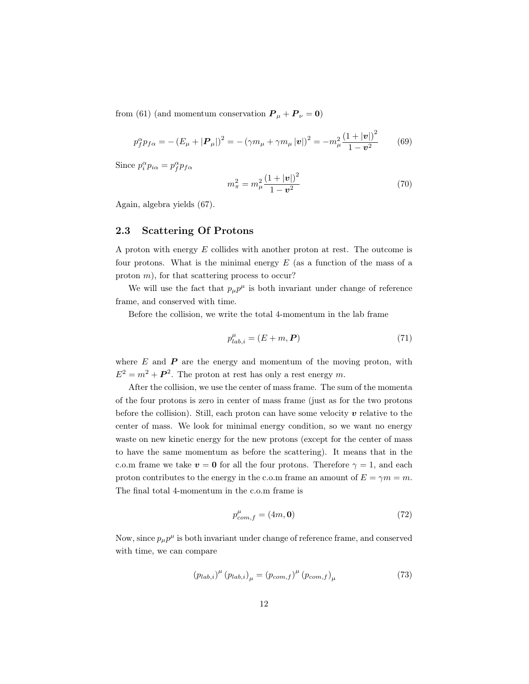from [\(61\)](#page-10-2) (and momentum conservation  $P_{\mu} + P_{\nu} = 0$ )

$$
p_f^{\alpha} p_{f\alpha} = - (E_{\mu} + |\mathbf{P}_{\mu}|)^2 = - (\gamma m_{\mu} + \gamma m_{\mu} |\mathbf{v}|)^2 = -m_{\mu}^2 \frac{(1 + |\mathbf{v}|)^2}{1 - \mathbf{v}^2}
$$
(69)

Since  $p_i^{\alpha} p_{i\alpha} = p_f^{\alpha} p_{f\alpha}$ 

$$
m_{\pi}^{2} = m_{\mu}^{2} \frac{\left(1 + |\mathbf{v}| \right)^{2}}{1 - \mathbf{v}^{2}} \tag{70}
$$

Again, algebra yields [\(67\)](#page-10-3).

#### <span id="page-11-0"></span>2.3 Scattering Of Protons

A proton with energy E collides with another proton at rest. The outcome is four protons. What is the minimal energy  $E$  (as a function of the mass of a proton  $m$ ), for that scattering process to occur?

We will use the fact that  $p_{\mu}p^{\mu}$  is both invariant under change of reference frame, and conserved with time.

Before the collision, we write the total 4-momentum in the lab frame

$$
p_{lab,i}^{\mu} = (E + m, \mathbf{P}) \tag{71}
$$

where  $E$  and  $\boldsymbol{P}$  are the energy and momentum of the moving proton, with  $E^2 = m^2 + P^2$ . The proton at rest has only a rest energy m.

After the collision, we use the center of mass frame. The sum of the momenta of the four protons is zero in center of mass frame (just as for the two protons before the collision). Still, each proton can have some velocity  $v$  relative to the center of mass. We look for minimal energy condition, so we want no energy waste on new kinetic energy for the new protons (except for the center of mass to have the same momentum as before the scattering). It means that in the c.o.m frame we take  $v = 0$  for all the four protons. Therefore  $\gamma = 1$ , and each proton contributes to the energy in the c.o.m frame an amount of  $E = \gamma m = m$ . The final total 4-momentum in the c.o.m frame is

$$
p_{com,f}^{\mu} = (4m, \mathbf{0})\tag{72}
$$

Now, since  $p_{\mu}p^{\mu}$  is both invariant under change of reference frame, and conserved with time, we can compare

$$
(p_{lab,i})^{\mu} (p_{lab,i})_{\mu} = (p_{com,f})^{\mu} (p_{com,f})_{\mu}
$$
 (73)